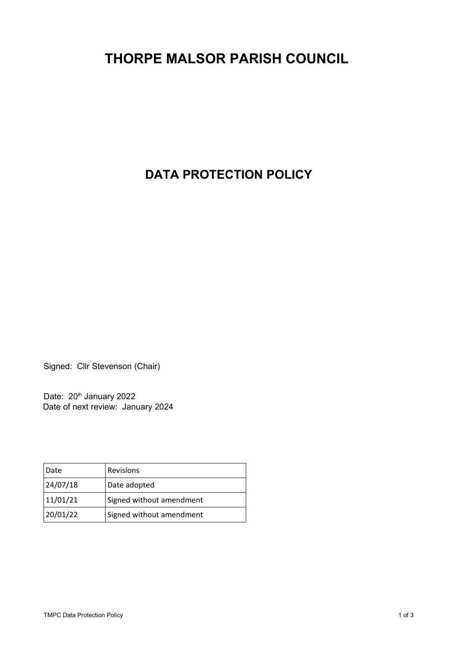# **THORPE MALSOR PARISH COUNCIL**

# **DATA PROTECTION POLICY**

Signed: Cllr Stevenson (Chair)

Date: 20<sup>th</sup> January 2022 Date of next review: January 2024

| Date     | Revisions                |
|----------|--------------------------|
| 24/07/18 | Date adopted             |
| 11/01/21 | Signed without amendment |
| 20/01/22 | Signed without amendment |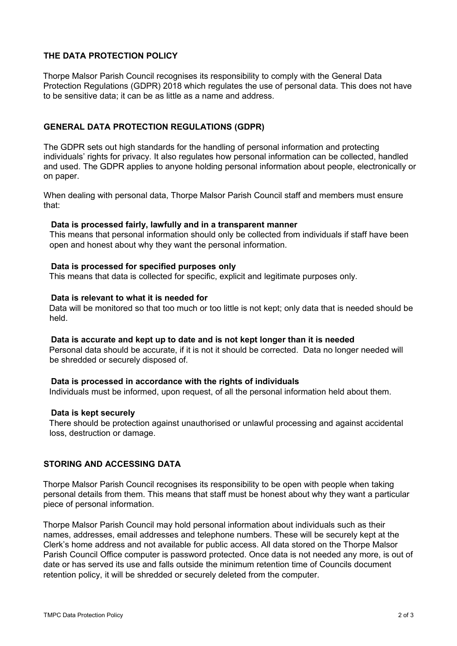# **THE DATA PROTECTION POLICY**

Thorpe Malsor Parish Council recognises its responsibility to comply with the General Data Protection Regulations (GDPR) 2018 which regulates the use of personal data. This does not have to be sensitive data; it can be as little as a name and address.

## **GENERAL DATA PROTECTION REGULATIONS (GDPR)**

The GDPR sets out high standards for the handling of personal information and protecting individuals' rights for privacy. It also regulates how personal information can be collected, handled and used. The GDPR applies to anyone holding personal information about people, electronically or on paper.

When dealing with personal data, Thorpe Malsor Parish Council staff and members must ensure that:

#### **Data is processed fairly, lawfully and in a transparent manner**

This means that personal information should only be collected from individuals if staff have been open and honest about why they want the personal information.

#### **Data is processed for specified purposes only**

This means that data is collected for specific, explicit and legitimate purposes only.

#### **Data is relevant to what it is needed for**

Data will be monitored so that too much or too little is not kept; only data that is needed should be held.

#### **Data is accurate and kept up to date and is not kept longer than it is needed**

Personal data should be accurate, if it is not it should be corrected. Data no longer needed will be shredded or securely disposed of.

#### **Data is processed in accordance with the rights of individuals**

Individuals must be informed, upon request, of all the personal information held about them.

#### **Data is kept securely**

There should be protection against unauthorised or unlawful processing and against accidental loss, destruction or damage.

#### **STORING AND ACCESSING DATA**

Thorpe Malsor Parish Council recognises its responsibility to be open with people when taking personal details from them. This means that staff must be honest about why they want a particular piece of personal information.

Thorpe Malsor Parish Council may hold personal information about individuals such as their names, addresses, email addresses and telephone numbers. These will be securely kept at the Clerk's home address and not available for public access. All data stored on the Thorpe Malsor Parish Council Office computer is password protected. Once data is not needed any more, is out of date or has served its use and falls outside the minimum retention time of Councils document retention policy, it will be shredded or securely deleted from the computer.